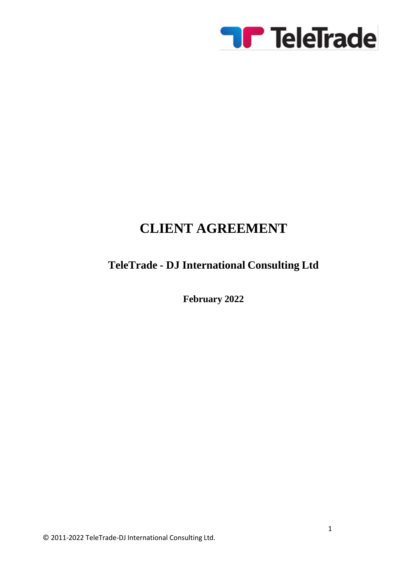

# **CLIENT AGREEMENT**

# **TeleTrade - DJ International Consulting Ltd**

**February 2022**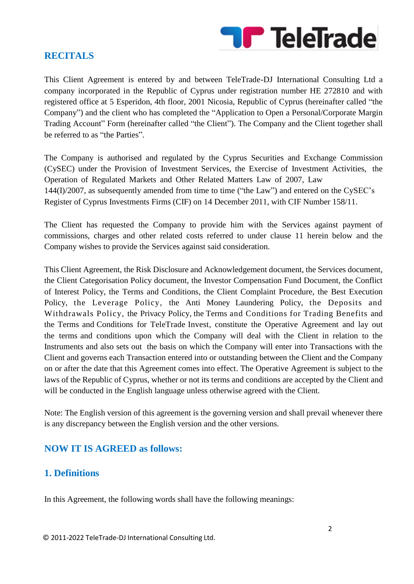

#### **RECITALS**

This Client Agreement is entered by and between TeleTrade-DJ International Consulting Ltd a company incorporated in the Republic of Cyprus under registration number HE 272810 and with registered office at 5 Esperidon, 4th floor, 2001 Nicosia, Republic of Cyprus (hereinafter called "the Company") and the client who has completed the "Application to Open a Personal/Corporate Margin Trading Account" Form (hereinafter called "the Client"). The Company and the Client together shall be referred to as "the Parties".

The Company is authorised and regulated by the Cyprus Securities and Exchange Commission (CySEC) under the Provision of Investment Services, the Exercise of Investment Activities, the Operation of Regulated Markets and Other Related Matters Law of 2007, Law 144(I)/2007, as subsequently amended from time to time ("the Law") and entered on the CySEC's Register of Cyprus Investments Firms (CIF) on 14 December 2011, with CIF Number 158/11.

The Client has requested the Company to provide him with the Services against payment of commissions, charges and other related costs referred to under clause 11 herein below and the Company wishes to provide the Services against said consideration.

This Client Agreement, the Risk Disclosure and Acknowledgement document, the Services document, the Client Categorisation Policy document, the Investor Compensation Fund Document, the Conflict of Interest Policy, the Terms and Conditions, the Client Complaint Procedure, the Best Execution Policy, the Leverage Policy, the Anti Money Laundering Policy, the Deposits and Withdrawals Policy, the Privacy Policy, the Terms and Conditions for Trading Benefits and the Terms and Conditions for TeleTrade Invest, constitute the Operative Agreement and lay out the terms and conditions upon which the Company will deal with the Client in relation to the Instruments and also sets out the basis on which the Company will enter into Transactions with the Client and governs each Transaction entered into or outstanding between the Client and the Company on or after the date that this Agreement comes into effect. The Operative Agreement is subject to the laws of the Republic of Cyprus, whether or not its terms and conditions are accepted by the Client and will be conducted in the English language unless otherwise agreed with the Client.

Note: The English version of this agreement is the governing version and shall prevail whenever there is any discrepancy between the English version and the other versions.

# **NOW IT IS AGREED as follows:**

#### **1. Definitions**

In this Agreement, the following words shall have the following meanings: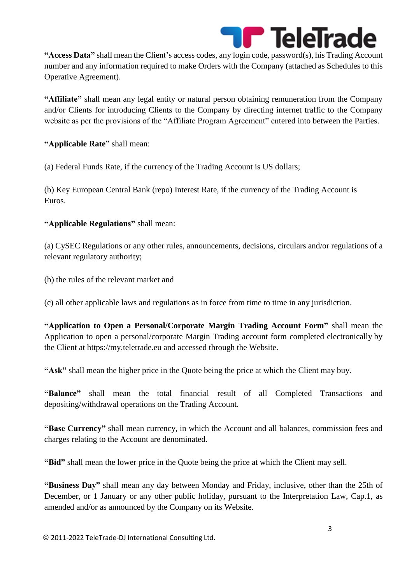

**"Access Data"** shall mean the Client's access codes, any login code, password(s), his Trading Account number and any information required to make Orders with the Company (attached as Schedules to this Operative Agreement).

**"Affiliate"** shall mean any legal entity or natural person obtaining remuneration from the Company and/or Clients for introducing Clients to the Company by directing internet traffic to the Company website as per the provisions of the "Affiliate Program Agreement" entered into between the Parties.

**"Applicable Rate"** shall mean:

(a) Federal Funds Rate, if the currency of the Trading Account is US dollars;

(b) Key European Central Bank (repo) Interest Rate, if the currency of the Trading Account is Euros.

#### **"Applicable Regulations"** shall mean:

(a) CySEC Regulations or any other rules, announcements, decisions, circulars and/or regulations of a relevant regulatory authority;

(b) the rules of the relevant market and

(c) all other applicable laws and regulations as in force from time to time in any jurisdiction.

**"Application to Open a Personal/Corporate Margin Trading Account Form"** shall mean the Application to open a personal/corporate Margin Trading account form completed electronically by the Client at https://my.teletrade.eu and accessed through the Website.

**"Ask"** shall mean the higher price in the Quote being the price at which the Client may buy.

**"Balance"** shall mean the total financial result of all Completed Transactions and depositing/withdrawal operations on the Trading Account.

**"Base Currency"** shall mean currency, in which the Account and all balances, commission fees and charges relating to the Account are denominated.

**"Bid"** shall mean the lower price in the Quote being the price at which the Client may sell.

**"Business Day"** shall mean any day between Monday and Friday, inclusive, other than the 25th of December, or 1 January or any other public holiday, pursuant to the Interpretation Law, Cap.1, as amended and/or as announced by the Company on its Website.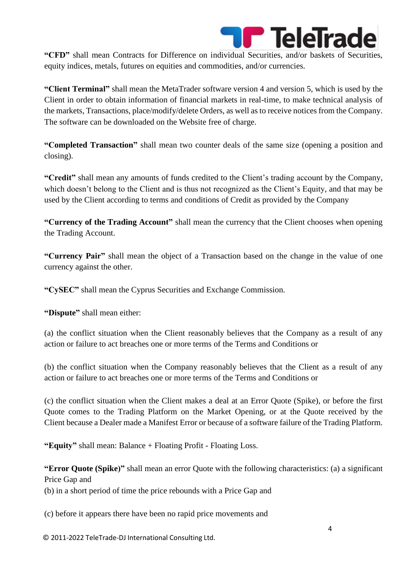

**"CFD"** shall mean Contracts for Difference on individual Securities, and/or baskets of Securities, equity indices, metals, futures on equities and commodities, and/or currencies.

**"Client Terminal"** shall mean the MetaTrader software version 4 and version 5, which is used by the Client in order to obtain information of financial markets in real-time, to make technical analysis of the markets, Transactions, place/modify/delete Orders, as well as to receive notices from the Company. The software can be downloaded on the Website free of charge.

**"Completed Transaction"** shall mean two counter deals of the same size (opening a position and closing).

**"Credit"** shall mean any amounts of funds credited to the Client's trading account by the Company, which doesn't belong to the Client and is thus not recognized as the Client's Equity, and that may be used by the Client according to terms and conditions of Credit as provided by the Company

**"Currency of the Trading Account"** shall mean the currency that the Client chooses when opening the Trading Account.

**"Currency Pair"** shall mean the object of a Transaction based on the change in the value of one currency against the other.

**"CySEC"** shall mean the Cyprus Securities and Exchange Commission.

**"Dispute"** shall mean either:

(a) the conflict situation when the Client reasonably believes that the Company as a result of any action or failure to act breaches one or more terms of the Terms and Conditions or

(b) the conflict situation when the Company reasonably believes that the Client as a result of any action or failure to act breaches one or more terms of the Terms and Conditions or

(c) the conflict situation when the Client makes a deal at an Error Quote (Spike), or before the first Quote comes to the Trading Platform on the Market Opening, or at the Quote received by the Client because a Dealer made a Manifest Error or because of a software failure of the Trading Platform.

**"Equity"** shall mean: Balance + Floating Profit - Floating Loss.

**"Error Quote (Spike)"** shall mean an error Quote with the following characteristics: (a) a significant Price Gap and

(b) in a short period of time the price rebounds with a Price Gap and

(c) before it appears there have been no rapid price movements and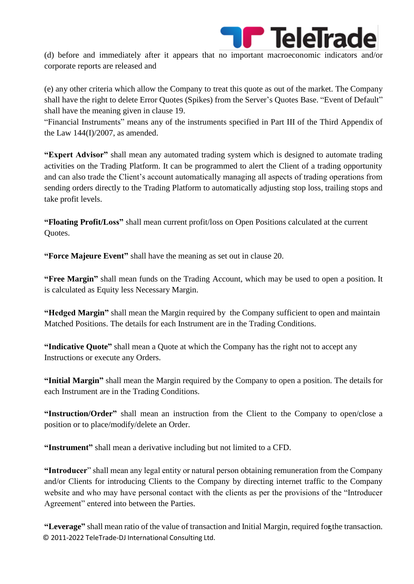

(d) before and immediately after it appears that no important macroeconomic indicators and/or corporate reports are released and

(e) any other criteria which allow the Company to treat this quote as out of the market. The Company shall have the right to delete Error Quotes (Spikes) from the Server's Quotes Base. "Event of Default" shall have the meaning given in clause 19.

"Financial Instruments" means any of the instruments specified in Part III of the Third Appendix of the Law 144(I)/2007, as amended.

**"Expert Advisor"** shall mean any automated trading system which is designed to automate trading activities on the Trading Platform. It can be programmed to alert the Client of a trading opportunity and can also trade the Client's account automatically managing all aspects of trading operations from sending orders directly to the Trading Platform to automatically adjusting stop loss, trailing stops and take profit levels.

**"Floating Profit/Loss"** shall mean current profit/loss on Open Positions calculated at the current Quotes.

**"Force Majeure Event"** shall have the meaning as set out in clause 20.

**"Free Margin"** shall mean funds on the Trading Account, which may be used to open a position. It is calculated as Equity less Necessary Margin.

**"Hedged Margin"** shall mean the Margin required by the Company sufficient to open and maintain Matched Positions. The details for each Instrument are in the Trading Conditions.

**"Indicative Quote"** shall mean a Quote at which the Company has the right not to accept any Instructions or execute any Orders.

**"Initial Margin"** shall mean the Margin required by the Company to open a position. The details for each Instrument are in the Trading Conditions.

**"Instruction/Order"** shall mean an instruction from the Client to the Company to open/close a position or to place/modify/delete an Order.

**"Instrument"** shall mean a derivative including but not limited to a CFD.

**"Introducer**" shall mean any legal entity or natural person obtaining remuneration from the Company and/or Clients for introducing Clients to the Company by directing internet traffic to the Company website and who may have personal contact with the clients as per the provisions of the "Introducer Agreement" entered into between the Parties.

© 2011-2022 TeleTrade-DJ International Consulting Ltd. "Leverage" shall mean ratio of the value of transaction and Initial Margin, required for the transaction.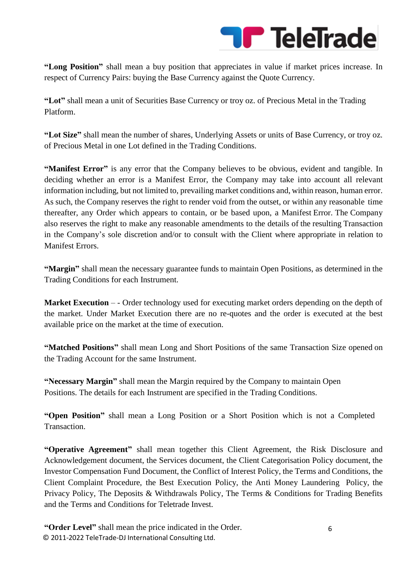

**"Long Position"** shall mean a buy position that appreciates in value if market prices increase. In respect of Currency Pairs: buying the Base Currency against the Quote Currency.

**"Lot"** shall mean a unit of Securities Base Currency or troy oz. of Precious Metal in the Trading Platform.

**"Lot Size"** shall mean the number of shares, Underlying Assets or units of Base Currency, or troy oz. of Precious Metal in one Lot defined in the Trading Conditions.

**"Manifest Error"** is any error that the Company believes to be obvious, evident and tangible. In deciding whether an error is a Manifest Error, the Company may take into account all relevant information including, but not limited to, prevailing market conditions and, within reason, human error. As such, the Company reserves the right to render void from the outset, or within any reasonable time thereafter, any Order which appears to contain, or be based upon, a Manifest Error. The Company also reserves the right to make any reasonable amendments to the details of the resulting Transaction in the Company's sole discretion and/or to consult with the Client where appropriate in relation to Manifest Errors.

**"Margin"** shall mean the necessary guarantee funds to maintain Open Positions, as determined in the Trading Conditions for each Instrument.

**Market Execution** – - Order technology used for executing market orders depending on the depth of the market. Under Market Execution there are no re-quotes and the order is executed at the best available price on the market at the time of execution.

**"Matched Positions"** shall mean Long and Short Positions of the same Transaction Size opened on the Trading Account for the same Instrument.

**"Necessary Margin"** shall mean the Margin required by the Company to maintain Open Positions. The details for each Instrument are specified in the Trading Conditions.

**"Open Position"** shall mean a Long Position or a Short Position which is not a Completed Transaction.

**"Operative Agreement"** shall mean together this Client Agreement, the Risk Disclosure and Acknowledgement document, the Services document, the Client Categorisation Policy document, the Investor Compensation Fund Document, the Conflict of Interest Policy, the Terms and Conditions, the Client Complaint Procedure, the Best Execution Policy, the Anti Money Laundering Policy, the Privacy Policy, The Deposits & Withdrawals Policy, The Terms & Conditions for Trading Benefits and the Terms and Conditions for Teletrade Invest.

© 2011-2022 TeleTrade-DJ International Consulting Ltd. **"Order Level"** shall mean the price indicated in the Order.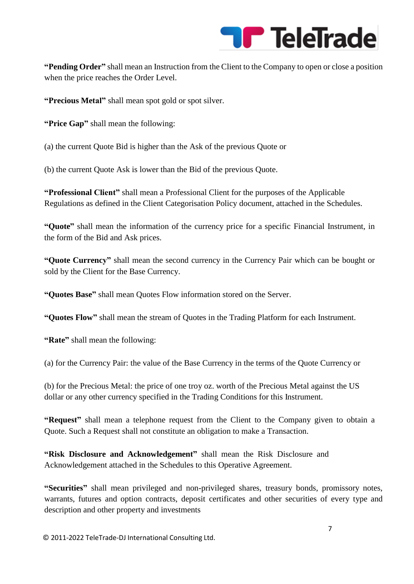

**"Pending Order"** shall mean an Instruction from the Client to the Company to open or close a position when the price reaches the Order Level.

**"Precious Metal"** shall mean spot gold or spot silver.

**"Price Gap"** shall mean the following:

(a) the current Quote Bid is higher than the Ask of the previous Quote or

(b) the current Quote Ask is lower than the Bid of the previous Quote.

**"Professional Client"** shall mean a Professional Client for the purposes of the Applicable Regulations as defined in the Client Categorisation Policy document, attached in the Schedules.

**"Quote"** shall mean the information of the currency price for a specific Financial Instrument, in the form of the Bid and Ask prices.

**"Quote Currency"** shall mean the second currency in the Currency Pair which can be bought or sold by the Client for the Base Currency.

**"Quotes Base"** shall mean Quotes Flow information stored on the Server.

**"Quotes Flow"** shall mean the stream of Quotes in the Trading Platform for each Instrument.

**"Rate"** shall mean the following:

(a) for the Currency Pair: the value of the Base Currency in the terms of the Quote Currency or

(b) for the Precious Metal: the price of one troy oz. worth of the Precious Metal against the US dollar or any other currency specified in the Trading Conditions for this Instrument.

**"Request"** shall mean a telephone request from the Client to the Company given to obtain a Quote. Such a Request shall not constitute an obligation to make a Transaction.

**"Risk Disclosure and Acknowledgement"** shall mean the Risk Disclosure and Acknowledgement attached in the Schedules to this Operative Agreement.

**"Securities"** shall mean privileged and non-privileged shares, treasury bonds, promissory notes, warrants, futures and option contracts, deposit certificates and other securities of every type and description and other property and investments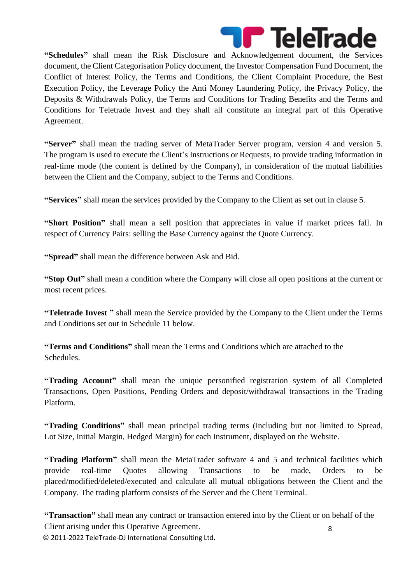

**"Schedules"** shall mean the Risk Disclosure and Acknowledgement document, the Services document, the Client Categorisation Policy document, the Investor Compensation Fund Document, the Conflict of Interest Policy, the Terms and Conditions, the Client Complaint Procedure, the Best Execution Policy, the Leverage Policy the Anti Money Laundering Policy, the Privacy Policy, the Deposits & Withdrawals Policy, the Terms and Conditions for Trading Benefits and the Terms and Conditions for Teletrade Invest and they shall all constitute an integral part of this Operative Agreement.

**"Server"** shall mean the trading server of MetaTrader Server program, version 4 and version 5. The program is used to execute the Client's Instructions or Requests, to provide trading information in real-time mode (the content is defined by the Company), in consideration of the mutual liabilities between the Client and the Company, subject to the Terms and Conditions.

**"Services"** shall mean the services provided by the Company to the Client as set out in clause 5.

**"Short Position"** shall mean a sell position that appreciates in value if market prices fall. In respect of Currency Pairs: selling the Base Currency against the Quote Currency.

**"Spread"** shall mean the difference between Ask and Bid.

**"Stop Out"** shall mean a condition where the Company will close all open positions at the current or most recent prices.

**"Teletrade Invest "** shall mean the Service provided by the Company to the Client under the Terms and Conditions set out in Schedule 11 below.

**"Terms and Conditions"** shall mean the Terms and Conditions which are attached to the Schedules.

**"Trading Account"** shall mean the unique personified registration system of all Completed Transactions, Open Positions, Pending Orders and deposit/withdrawal transactions in the Trading Platform.

**"Trading Conditions"** shall mean principal trading terms (including but not limited to Spread, Lot Size, Initial Margin, Hedged Margin) for each Instrument, displayed on the Website.

**"Trading Platform"** shall mean the MetaTrader software 4 and 5 and technical facilities which provide real-time Quotes allowing Transactions to be made, Orders to be placed/modified/deleted/executed and calculate all mutual obligations between the Client and the Company. The trading platform consists of the Server and the Client Terminal.

© 2011-2022 TeleTrade-DJ International Consulting Ltd. 8 **"Transaction"** shall mean any contract or transaction entered into by the Client or on behalf of the Client arising under this Operative Agreement.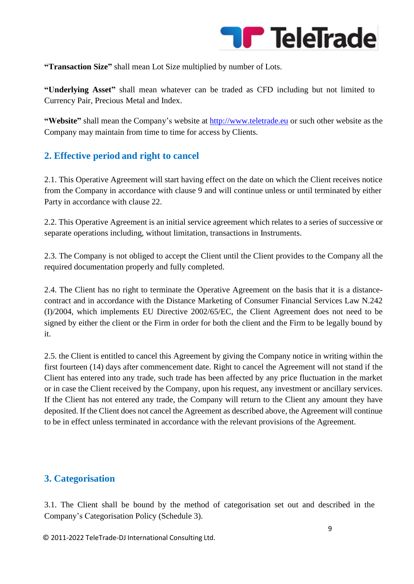

**"Transaction Size"** shall mean Lot Size multiplied by number of Lots.

**"Underlying Asset"** shall mean whatever can be traded as CFD including but not limited to Currency Pair, Precious Metal and Index.

**"Website"** shall mean the Company's website at [http://www.teletrade.eu](http://www.teletrade.eu/) or such other website as the Company may maintain from time to time for access by Clients.

#### **2. Effective period and right to cancel**

2.1. This Operative Agreement will start having effect on the date on which the Client receives notice from the Company in accordance with clause 9 and will continue unless or until terminated by either Party in accordance with clause 22.

2.2. This Operative Agreement is an initial service agreement which relates to a series of successive or separate operations including, without limitation, transactions in Instruments.

2.3. The Company is not obliged to accept the Client until the Client provides to the Company all the required documentation properly and fully completed.

2.4. The Client has no right to terminate the Operative Agreement on the basis that it is a distancecontract and in accordance with the Distance Marketing of Consumer Financial Services Law N.242 (I)/2004, which implements EU Directive 2002/65/EC, the Client Agreement does not need to be signed by either the client or the Firm in order for both the client and the Firm to be legally bound by it.

2.5. the Client is entitled to cancel this Agreement by giving the Company notice in writing within the first fourteen (14) days after commencement date. Right to cancel the Agreement will not stand if the Client has entered into any trade, such trade has been affected by any price fluctuation in the market or in case the Client received by the Company, upon his request, any investment or ancillary services. If the Client has not entered any trade, the Company will return to the Client any amount they have deposited. If the Client does not cancel the Agreement as described above, the Agreement will continue to be in effect unless terminated in accordance with the relevant provisions of the Agreement.

# **3. Categorisation**

3.1. The Client shall be bound by the method of categorisation set out and described in the Company's Categorisation Policy (Schedule 3).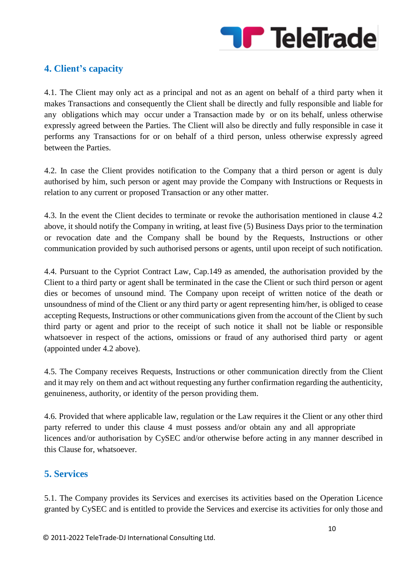

# **4. Client's capacity**

4.1. The Client may only act as a principal and not as an agent on behalf of a third party when it makes Transactions and consequently the Client shall be directly and fully responsible and liable for any obligations which may occur under a Transaction made by or on its behalf, unless otherwise expressly agreed between the Parties. The Client will also be directly and fully responsible in case it performs any Transactions for or on behalf of a third person, unless otherwise expressly agreed between the Parties.

4.2. In case the Client provides notification to the Company that a third person or agent is duly authorised by him, such person or agent may provide the Company with Instructions or Requests in relation to any current or proposed Transaction or any other matter.

4.3. In the event the Client decides to terminate or revoke the authorisation mentioned in clause 4.2 above, it should notify the Company in writing, at least five (5) Business Days prior to the termination or revocation date and the Company shall be bound by the Requests, Instructions or other communication provided by such authorised persons or agents, until upon receipt of such notification.

4.4. Pursuant to the Cypriot Contract Law, Cap.149 as amended, the authorisation provided by the Client to a third party or agent shall be terminated in the case the Client or such third person or agent dies or becomes of unsound mind. The Company upon receipt of written notice of the death or unsoundness of mind of the Client or any third party or agent representing him/her, is obliged to cease accepting Requests, Instructions or other communications given from the account of the Client by such third party or agent and prior to the receipt of such notice it shall not be liable or responsible whatsoever in respect of the actions, omissions or fraud of any authorised third party or agent (appointed under 4.2 above).

4.5. The Company receives Requests, Instructions or other communication directly from the Client and it may rely on them and act without requesting any further confirmation regarding the authenticity, genuineness, authority, or identity of the person providing them.

4.6. Provided that where applicable law, regulation or the Law requires it the Client or any other third party referred to under this clause 4 must possess and/or obtain any and all appropriate licences and/or authorisation by CySEC and/or otherwise before acting in any manner described in this Clause for, whatsoever.

#### **5. Services**

5.1. The Company provides its Services and exercises its activities based on the Operation Licence granted by CySEC and is entitled to provide the Services and exercise its activities for only those and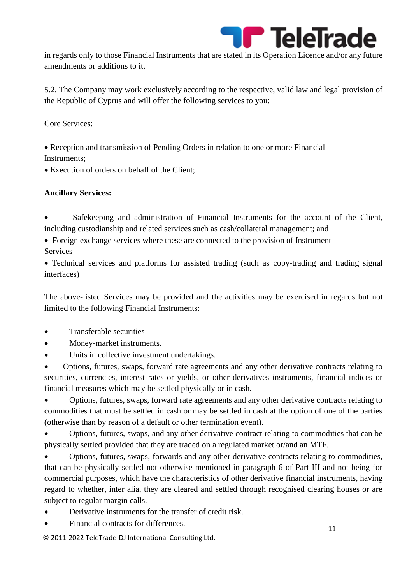

in regards only to those Financial Instruments that are stated in its Operation Licence and/or any future amendments or additions to it.

5.2. The Company may work exclusively according to the respective, valid law and legal provision of the Republic of Cyprus and will offer the following services to you:

Core Services:

• Reception and transmission of Pending Orders in relation to one or more Financial Instruments;

• Execution of orders on behalf of the Client;

#### **Ancillary Services:**

Safekeeping and administration of Financial Instruments for the account of the Client, including custodianship and related services such as cash/collateral management; and

• Foreign exchange services where these are connected to the provision of Instrument **Services** 

• Technical services and platforms for assisted trading (such as copy-trading and trading signal interfaces)

The above-listed Services may be provided and the activities may be exercised in regards but not limited to the following Financial Instruments:

- Transferable securities
- Money-market instruments.
- Units in collective investment undertakings.

• Options, futures, swaps, forward rate agreements and any other derivative contracts relating to securities, currencies, interest rates or yields, or other derivatives instruments, financial indices or financial measures which may be settled physically or in cash.

• Options, futures, swaps, forward rate agreements and any other derivative contracts relating to commodities that must be settled in cash or may be settled in cash at the option of one of the parties (otherwise than by reason of a default or other termination event).

• Options, futures, swaps, and any other derivative contract relating to commodities that can be physically settled provided that they are traded on a regulated market or/and an MTF.

• Options, futures, swaps, forwards and any other derivative contracts relating to commodities, that can be physically settled not otherwise mentioned in paragraph 6 of Part III and not being for commercial purposes, which have the characteristics of other derivative financial instruments, having regard to whether, inter alia, they are cleared and settled through recognised clearing houses or are subject to regular margin calls.

- Derivative instruments for the transfer of credit risk.
- Financial contracts for differences.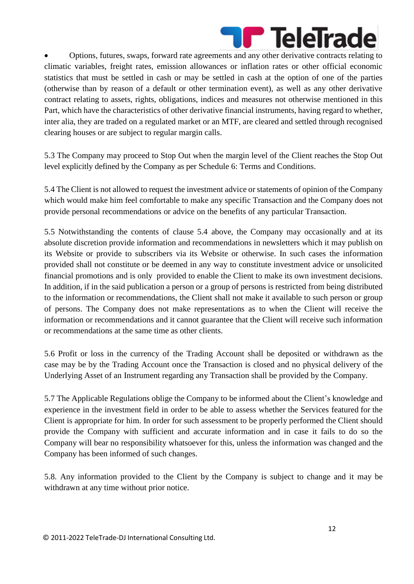

• Options, futures, swaps, forward rate agreements and any other derivative contracts relating to climatic variables, freight rates, emission allowances or inflation rates or other official economic statistics that must be settled in cash or may be settled in cash at the option of one of the parties (otherwise than by reason of a default or other termination event), as well as any other derivative contract relating to assets, rights, obligations, indices and measures not otherwise mentioned in this Part, which have the characteristics of other derivative financial instruments, having regard to whether, inter alia, they are traded on a regulated market or an MTF, are cleared and settled through recognised clearing houses or are subject to regular margin calls.

5.3 The Company may proceed to Stop Out when the margin level of the Client reaches the Stop Out level explicitly defined by the Company as per Schedule 6: Terms and Conditions.

5.4 The Client is not allowed to request the investment advice or statements of opinion of the Company which would make him feel comfortable to make any specific Transaction and the Company does not provide personal recommendations or advice on the benefits of any particular Transaction.

5.5 Notwithstanding the contents of clause 5.4 above, the Company may occasionally and at its absolute discretion provide information and recommendations in newsletters which it may publish on its Website or provide to subscribers via its Website or otherwise. In such cases the information provided shall not constitute or be deemed in any way to constitute investment advice or unsolicited financial promotions and is only provided to enable the Client to make its own investment decisions. In addition, if in the said publication a person or a group of persons is restricted from being distributed to the information or recommendations, the Client shall not make it available to such person or group of persons. The Company does not make representations as to when the Client will receive the information or recommendations and it cannot guarantee that the Client will receive such information or recommendations at the same time as other clients.

5.6 Profit or loss in the currency of the Trading Account shall be deposited or withdrawn as the case may be by the Trading Account once the Transaction is closed and no physical delivery of the Underlying Asset of an Instrument regarding any Transaction shall be provided by the Company.

5.7 The Applicable Regulations oblige the Company to be informed about the Client's knowledge and experience in the investment field in order to be able to assess whether the Services featured for the Client is appropriate for him. In order for such assessment to be properly performed the Client should provide the Company with sufficient and accurate information and in case it fails to do so the Company will bear no responsibility whatsoever for this, unless the information was changed and the Company has been informed of such changes.

5.8. Any information provided to the Client by the Company is subject to change and it may be withdrawn at any time without prior notice.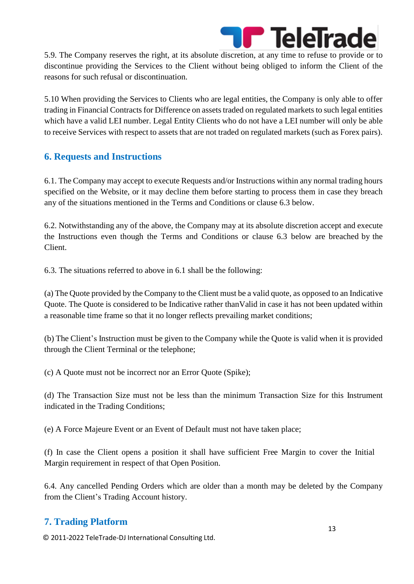

5.9. The Company reserves the right, at its absolute discretion, at any time to refuse to provide or to discontinue providing the Services to the Client without being obliged to inform the Client of the reasons for such refusal or discontinuation.

5.10 When providing the Services to Clients who are legal entities, the Company is only able to offer trading in Financial Contracts for Difference on assets traded on regulated markets to such legal entities which have a valid LEI number. Legal Entity Clients who do not have a LEI number will only be able to receive Services with respect to assets that are not traded on regulated markets (such as Forex pairs).

#### **6. Requests and Instructions**

6.1. The Company may accept to execute Requests and/or Instructions within any normal trading hours specified on the Website, or it may decline them before starting to process them in case they breach any of the situations mentioned in the Terms and Conditions or clause 6.3 below.

6.2. Notwithstanding any of the above, the Company may at its absolute discretion accept and execute the Instructions even though the Terms and Conditions or clause 6.3 below are breached by the Client.

6.3. The situations referred to above in 6.1 shall be the following:

(a) The Quote provided by the Company to the Client must be a valid quote, as opposed to an Indicative Quote. The Quote is considered to be Indicative rather thanValid in case it has not been updated within a reasonable time frame so that it no longer reflects prevailing market conditions;

(b) The Client's Instruction must be given to the Company while the Quote is valid when it is provided through the Client Terminal or the telephone;

(c) A Quote must not be incorrect nor an Error Quote (Spike);

(d) The Transaction Size must not be less than the minimum Transaction Size for this Instrument indicated in the Trading Conditions;

(e) A Force Majeure Event or an Event of Default must not have taken place;

(f) In case the Client opens a position it shall have sufficient Free Margin to cover the Initial Margin requirement in respect of that Open Position.

6.4. Any cancelled Pending Orders which are older than a month may be deleted by the Company from the Client's Trading Account history.

# **7. Trading Platform**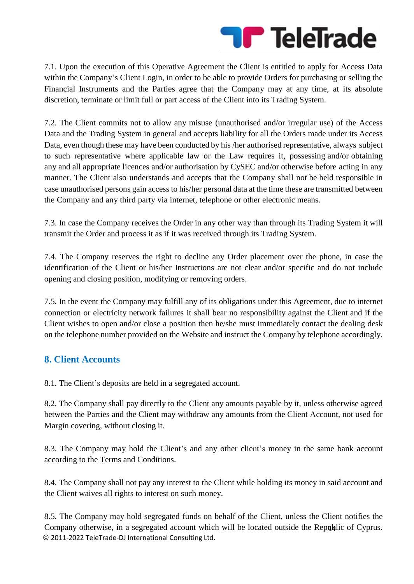

7.1. Upon the execution of this Operative Agreement the Client is entitled to apply for Access Data within the Company's Client Login, in order to be able to provide Orders for purchasing or selling the Financial Instruments and the Parties agree that the Company may at any time, at its absolute discretion, terminate or limit full or part access of the Client into its Trading System.

7.2. The Client commits not to allow any misuse (unauthorised and/or irregular use) of the Access Data and the Trading System in general and accepts liability for all the Orders made under its Access Data, even though these may have been conducted by his /her authorised representative, always subject to such representative where applicable law or the Law requires it, possessing and/or obtaining any and all appropriate licences and/or authorisation by CySEC and/or otherwise before acting in any manner. The Client also understands and accepts that the Company shall not be held responsible in case unauthorised persons gain access to his/her personal data at the time these are transmitted between the Company and any third party via internet, telephone or other electronic means.

7.3. In case the Company receives the Order in any other way than through its Trading System it will transmit the Order and process it as if it was received through its Trading System.

7.4. The Company reserves the right to decline any Order placement over the phone, in case the identification of the Client or his/her Instructions are not clear and/or specific and do not include opening and closing position, modifying or removing orders.

7.5. In the event the Company may fulfill any of its obligations under this Agreement, due to internet connection or electricity network failures it shall bear no responsibility against the Client and if the Client wishes to open and/or close a position then he/she must immediately contact the dealing desk on the telephone number provided on the Website and instruct the Company by telephone accordingly.

#### **8. Client Accounts**

8.1. The Client's deposits are held in a segregated account.

8.2. The Company shall pay directly to the Client any amounts payable by it, unless otherwise agreed between the Parties and the Client may withdraw any amounts from the Client Account, not used for Margin covering, without closing it.

8.3. The Company may hold the Client's and any other client's money in the same bank account according to the Terms and Conditions.

8.4. The Company shall not pay any interest to the Client while holding its money in said account and the Client waives all rights to interest on such money.

© 2011-2022 TeleTrade-DJ International Consulting Ltd. Company otherwise, in a segregated account which will be located outside the Republic of Cyprus. 8.5. The Company may hold segregated funds on behalf of the Client, unless the Client notifies the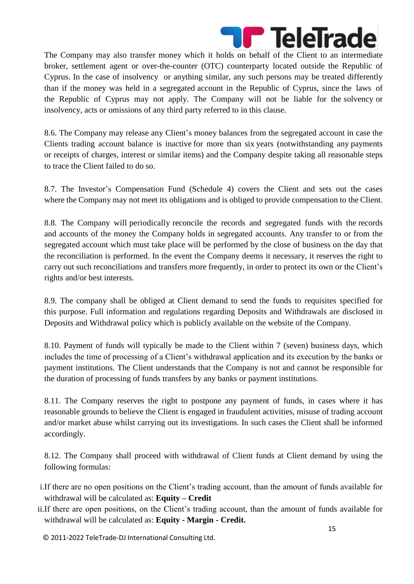

The Company may also transfer money which it holds on behalf of the Client to an intermediate broker, settlement agent or over-the-counter (OTC) counterparty located outside the Republic of Cyprus. In the case of insolvency or anything similar, any such persons may be treated differently than if the money was held in a segregated account in the Republic of Cyprus, since the laws of the Republic of Cyprus may not apply. The Company will not be liable for the solvency or insolvency, acts or omissions of any third party referred to in this clause.

8.6. The Company may release any Client's money balances from the segregated account in case the Clients trading account balance is inactive for more than six years (notwithstanding any payments or receipts of charges, interest or similar items) and the Company despite taking all reasonable steps to trace the Client failed to do so.

8.7. The Investor's Compensation Fund (Schedule 4) covers the Client and sets out the cases where the Company may not meet its obligations and is obliged to provide compensation to the Client.

8.8. The Company will periodically reconcile the records and segregated funds with the records and accounts of the money the Company holds in segregated accounts. Any transfer to or from the segregated account which must take place will be performed by the close of business on the day that the reconciliation is performed. In the event the Company deems it necessary, it reserves the right to carry out such reconciliations and transfers more frequently, in order to protect its own or the Client's rights and/or best interests.

8.9. The company shall be obliged at Client demand to send the funds to requisites specified for this purpose. Full information and regulations regarding Deposits and Withdrawals are disclosed in Deposits and Withdrawal policy which is publicly available on the website of the Company.

8.10. Payment of funds will typically be made to the Client within 7 (seven) business days, which includes the time of processing of a Client's withdrawal application and its execution by the banks or payment institutions. The Client understands that the Company is not and cannot be responsible for the duration of processing of funds transfers by any banks or payment institutions.

8.11. The Company reserves the right to postpone any payment of funds, in cases where it has reasonable grounds to believe the Client is engaged in fraudulent activities, misuse of trading account and/or market abuse whilst carrying out its investigations. In such cases the Client shall be informed accordingly.

8.12. The Company shall proceed with withdrawal of Client funds at Client demand by using the following formulas:

- i.If there are no open positions on the Client's trading account, than the amount of funds available for withdrawal will be calculated as: **Equity – Credit**
- ii.If there are open positions, on the Client's trading account, than the amount of funds available for withdrawal will be calculated as: **Equity - Margin - Credit.**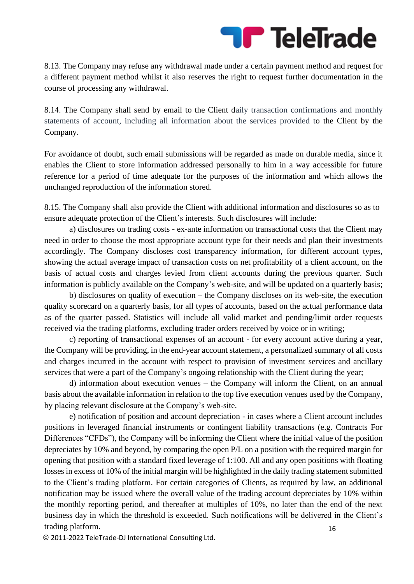

8.13. The Company may refuse any withdrawal made under a certain payment method and request for a different payment method whilst it also reserves the right to request further documentation in the course of processing any withdrawal.

8.14. The Company shall send by email to the Client daily transaction confirmations and monthly statements of account, including all information about the services provided to the Client by the Company.

For avoidance of doubt, such email submissions will be regarded as made on durable media, since it enables the Client to store information addressed personally to him in a way accessible for future reference for a period of time adequate for the purposes of the information and which allows the unchanged reproduction of the information stored.

8.15. The Company shall also provide the Client with additional information and disclosures so as to ensure adequate protection of the Client's interests. Such disclosures will include:

a) disclosures on trading costs - ex-ante information on transactional costs that the Client may need in order to choose the most appropriate account type for their needs and plan their investments accordingly. The Company discloses cost transparency information, for different account types, showing the actual average impact of transaction costs on net profitability of a client account, on the basis of actual costs and charges levied from client accounts during the previous quarter. Such information is publicly available on the Company's web-site, and will be updated on a quarterly basis;

b) disclosures on quality of execution – the Company discloses on its web-site, the execution quality scorecard on a quarterly basis, for all types of accounts, based on the actual performance data as of the quarter passed. Statistics will include all valid market and pending/limit order requests received via the trading platforms, excluding trader orders received by voice or in writing;

c) reporting of transactional expenses of an account - for every account active during a year, the Company will be providing, in the end-year account statement, a personalized summary of all costs and charges incurred in the account with respect to provision of investment services and ancillary services that were a part of the Company's ongoing relationship with the Client during the year;

d) information about execution venues – the Company will inform the Client, on an annual basis about the available information in relation to the top five execution venues used by the Company, by placing relevant disclosure at the Company's web-site.

16 e) notification of position and account depreciation - in cases where a Client account includes positions in leveraged financial instruments or contingent liability transactions (e.g. Contracts For Differences "CFDs"), the Company will be informing the Client where the initial value of the position depreciates by 10% and beyond, by comparing the open P/L on a position with the required margin for opening that position with a standard fixed leverage of 1:100. All and any open positions with floating losses in excess of 10% of the initial margin will be highlighted in the daily trading statement submitted to the Client's trading platform. For certain categories of Clients, as required by law, an additional notification may be issued where the overall value of the trading account depreciates by 10% within the monthly reporting period, and thereafter at multiples of 10%, no later than the end of the next business day in which the threshold is exceeded. Such notifications will be delivered in the Client's trading platform.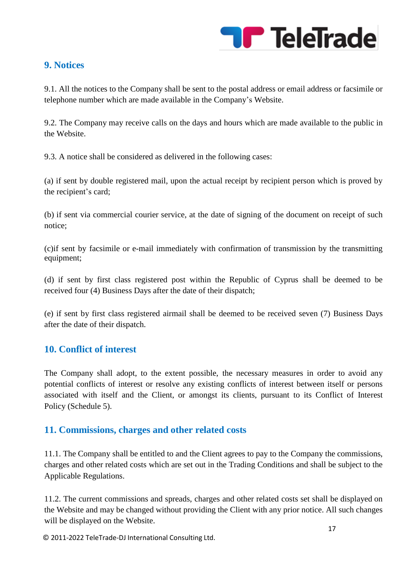

#### **9. Notices**

9.1. All the notices to the Company shall be sent to the postal address or email address or facsimile or telephone number which are made available in the Company's Website.

9.2. The Company may receive calls on the days and hours which are made available to the public in the Website.

9.3. A notice shall be considered as delivered in the following cases:

(a) if sent by double registered mail, upon the actual receipt by recipient person which is proved by the recipient's card;

(b) if sent via commercial courier service, at the date of signing of the document on receipt of such notice;

(c)if sent by facsimile or e-mail immediately with confirmation of transmission by the transmitting equipment;

(d) if sent by first class registered post within the Republic of Cyprus shall be deemed to be received four (4) Business Days after the date of their dispatch;

(e) if sent by first class registered airmail shall be deemed to be received seven (7) Business Days after the date of their dispatch.

#### **10. Conflict of interest**

The Company shall adopt, to the extent possible, the necessary measures in order to avoid any potential conflicts of interest or resolve any existing conflicts of interest between itself or persons associated with itself and the Client, or amongst its clients, pursuant to its Conflict of Interest Policy (Schedule 5).

#### **11. Commissions, charges and other related costs**

11.1. The Company shall be entitled to and the Client agrees to pay to the Company the commissions, charges and other related costs which are set out in the Trading Conditions and shall be subject to the Applicable Regulations.

11.2. The current commissions and spreads, charges and other related costs set shall be displayed on the Website and may be changed without providing the Client with any prior notice. All such changes will be displayed on the Website.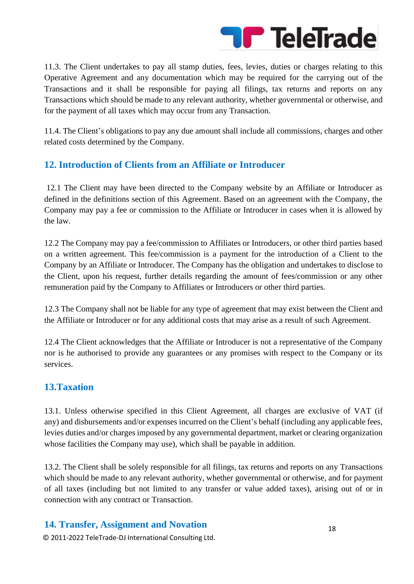

11.3. The Client undertakes to pay all stamp duties, fees, levies, duties or charges relating to this Operative Agreement and any documentation which may be required for the carrying out of the Transactions and it shall be responsible for paying all filings, tax returns and reports on any Transactions which should be made to any relevant authority, whether governmental or otherwise, and for the payment of all taxes which may occur from any Transaction.

11.4. The Client's obligations to pay any due amount shall include all commissions, charges and other related costs determined by the Company.

#### **12. Introduction of Clients from an Affiliate or Introducer**

12.1 The Client may have been directed to the Company website by an Affiliate or Introducer as defined in the definitions section of this Agreement. Based on an agreement with the Company, the Company may pay a fee or commission to the Affiliate or Introducer in cases when it is allowed by the law.

12.2 The Company may pay a fee/commission to Affiliates or Introducers, or other third parties based on a written agreement. This fee/commission is a payment for the introduction of a Client to the Company by an Affiliate or Introducer. The Company has the obligation and undertakes to disclose to the Client, upon his request, further details regarding the amount of fees/commission or any other remuneration paid by the Company to Affiliates or Introducers or other third parties.

12.3 The Company shall not be liable for any type of agreement that may exist between the Client and the Affiliate or Introducer or for any additional costs that may arise as a result of such Agreement.

12.4 The Client acknowledges that the Affiliate or Introducer is not a representative of the Company nor is he authorised to provide any guarantees or any promises with respect to the Company or its services.

#### **13.Taxation**

13.1. Unless otherwise specified in this Client Agreement, all charges are exclusive of VAT (if any) and disbursements and/or expenses incurred on the Client's behalf (including any applicable fees, levies duties and/or charges imposed by any governmental department, market or clearing organization whose facilities the Company may use), which shall be payable in addition.

13.2. The Client shall be solely responsible for all filings, tax returns and reports on any Transactions which should be made to any relevant authority, whether governmental or otherwise, and for payment of all taxes (including but not limited to any transfer or value added taxes), arising out of or in connection with any contract or Transaction.

#### **14. Transfer, Assignment and Novation**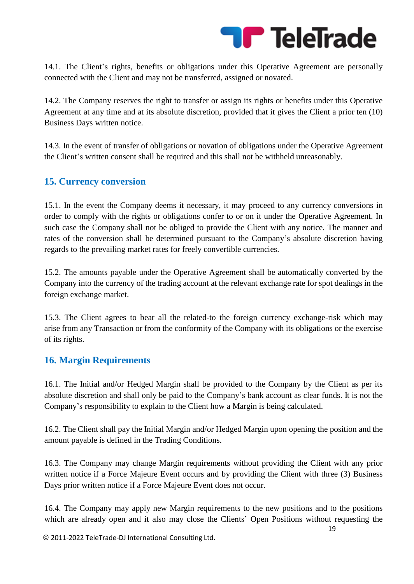

14.1. The Client's rights, benefits or obligations under this Operative Agreement are personally connected with the Client and may not be transferred, assigned or novated.

14.2. The Company reserves the right to transfer or assign its rights or benefits under this Operative Agreement at any time and at its absolute discretion, provided that it gives the Client a prior ten (10) Business Days written notice.

14.3. In the event of transfer of obligations or novation of obligations under the Operative Agreement the Client's written consent shall be required and this shall not be withheld unreasonably.

#### **15. Currency conversion**

15.1. In the event the Company deems it necessary, it may proceed to any currency conversions in order to comply with the rights or obligations confer to or on it under the Operative Agreement. In such case the Company shall not be obliged to provide the Client with any notice. The manner and rates of the conversion shall be determined pursuant to the Company's absolute discretion having regards to the prevailing market rates for freely convertible currencies.

15.2. The amounts payable under the Operative Agreement shall be automatically converted by the Company into the currency of the trading account at the relevant exchange rate for spot dealings in the foreign exchange market.

15.3. The Client agrees to bear all the related-to the foreign currency exchange-risk which may arise from any Transaction or from the conformity of the Company with its obligations or the exercise of its rights.

#### **16. Margin Requirements**

16.1. The Initial and/or Hedged Margin shall be provided to the Company by the Client as per its absolute discretion and shall only be paid to the Company's bank account as clear funds. It is not the Company's responsibility to explain to the Client how a Margin is being calculated.

16.2. The Client shall pay the Initial Margin and/or Hedged Margin upon opening the position and the amount payable is defined in the Trading Conditions.

16.3. The Company may change Margin requirements without providing the Client with any prior written notice if a Force Majeure Event occurs and by providing the Client with three (3) Business Days prior written notice if a Force Majeure Event does not occur.

16.4. The Company may apply new Margin requirements to the new positions and to the positions which are already open and it also may close the Clients' Open Positions without requesting the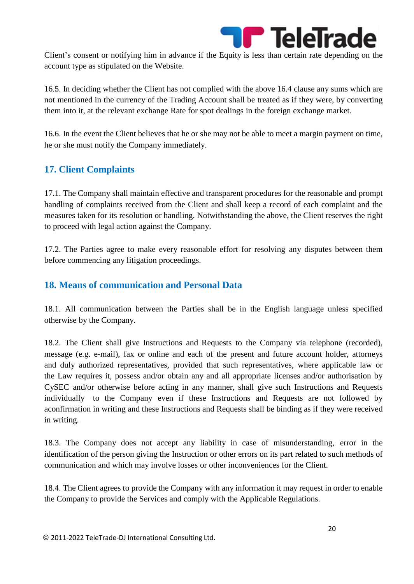

Client's consent or notifying him in advance if the Equity is less than certain rate depending on the account type as stipulated on the Website.

16.5. In deciding whether the Client has not complied with the above 16.4 clause any sums which are not mentioned in the currency of the Trading Account shall be treated as if they were, by converting them into it, at the relevant exchange Rate for spot dealings in the foreign exchange market.

16.6. In the event the Client believes that he or she may not be able to meet a margin payment on time, he or she must notify the Company immediately.

# **17. Client Complaints**

17.1. The Company shall maintain effective and transparent procedures for the reasonable and prompt handling of complaints received from the Client and shall keep a record of each complaint and the measures taken for its resolution or handling. Notwithstanding the above, the Client reserves the right to proceed with legal action against the Company.

17.2. The Parties agree to make every reasonable effort for resolving any disputes between them before commencing any litigation proceedings.

#### **18. Means of communication and Personal Data**

18.1. All communication between the Parties shall be in the English language unless specified otherwise by the Company.

18.2. The Client shall give Instructions and Requests to the Company via telephone (recorded), message (e.g. e-mail), fax or online and each of the present and future account holder, attorneys and duly authorized representatives, provided that such representatives, where applicable law or the Law requires it, possess and/or obtain any and all appropriate licenses and/or authorisation by CySEC and/or otherwise before acting in any manner, shall give such Instructions and Requests individually to the Company even if these Instructions and Requests are not followed by aconfirmation in writing and these Instructions and Requests shall be binding as if they were received in writing.

18.3. The Company does not accept any liability in case of misunderstanding, error in the identification of the person giving the Instruction or other errors on its part related to such methods of communication and which may involve losses or other inconveniences for the Client.

18.4. The Client agrees to provide the Company with any information it may request in order to enable the Company to provide the Services and comply with the Applicable Regulations.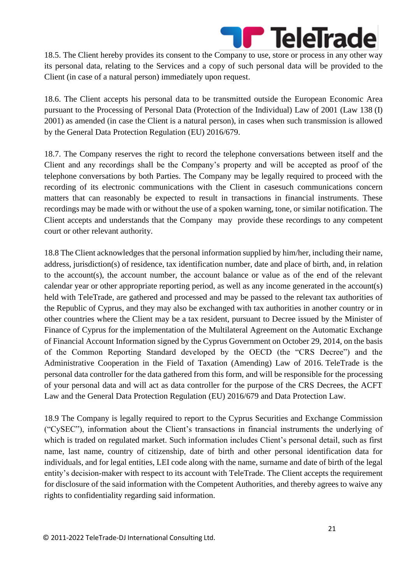

18.5. The Client hereby provides its consent to the Company to use, store or process in any other way its personal data, relating to the Services and a copy of such personal data will be provided to the Client (in case of a natural person) immediately upon request.

18.6. The Client accepts his personal data to be transmitted outside the European Economic Area pursuant to the Processing of Personal Data (Protection of the Individual) Law of 2001 (Law 138 (I) 2001) as amended (in case the Client is a natural person), in cases when such transmission is allowed by the General Data Protection Regulation (EU) 2016/679.

18.7. The Company reserves the right to record the telephone conversations between itself and the Client and any recordings shall be the Company's property and will be accepted as proof of the telephone conversations by both Parties. The Company may be legally required to proceed with the recording of its electronic communications with the Client in casesuch communications concern matters that can reasonably be expected to result in transactions in financial instruments. These recordings may be made with or without the use of a spoken warning, tone, or similar notification. The Client accepts and understands that the Company may provide these recordings to any competent court or other relevant authority.

18.8 The Client acknowledges that the personal information supplied by him/her, including their name, address, jurisdiction(s) of residence, tax identification number, date and place of birth, and, in relation to the account(s), the account number, the account balance or value as of the end of the relevant calendar year or other appropriate reporting period, as well as any income generated in the account(s) held with TeleTrade, are gathered and processed and may be passed to the relevant tax authorities of the Republic of Cyprus, and they may also be exchanged with tax authorities in another country or in other countries where the Client may be a tax resident, pursuant to Decree issued by the Minister of Finance of Cyprus for the implementation of the Multilateral Agreement on the Automatic Exchange of Financial Account Information signed by the Cyprus Government on October 29, 2014, on the basis of the Common Reporting Standard developed by the OECD (the "CRS Decree") and the Administrative Cooperation in the Field of Taxation (Amending) Law of 2016. TeleTrade is the personal data controller for the data gathered from this form, and will be responsible for the processing of your personal data and will act as data controller for the purpose of the CRS Decrees, the ACFT Law and the General Data Protection Regulation (EU) 2016/679 and Data Protection Law.

18.9 The Company is legally required to report to the Cyprus Securities and Exchange Commission ("CySEC"), information about the Client's transactions in financial instruments the underlying of which is traded on regulated market. Such information includes Client's personal detail, such as first name, last name, country of citizenship, date of birth and other personal identification data for individuals, and for legal entities, LEI code along with the name, surname and date of birth of the legal entity's decision-maker with respect to its account with TeleTrade. The Client accepts the requirement for disclosure of the said information with the Competent Authorities, and thereby agrees to waive any rights to confidentiality regarding said information.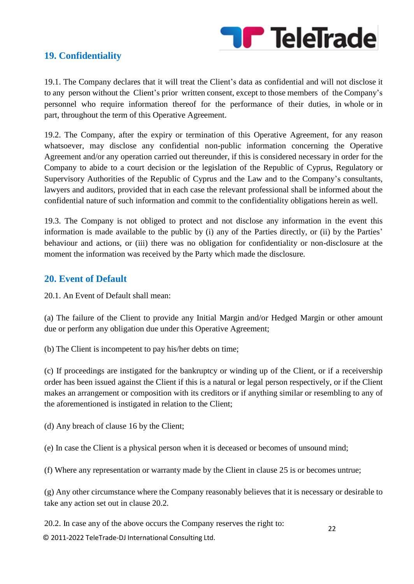

#### **19. Confidentiality**

19.1. The Company declares that it will treat the Client's data as confidential and will not disclose it to any person without the Client's prior written consent, except to those members of the Company's personnel who require information thereof for the performance of their duties, in whole or in part, throughout the term of this Operative Agreement.

19.2. The Company, after the expiry or termination of this Operative Agreement, for any reason whatsoever, may disclose any confidential non-public information concerning the Operative Agreement and/or any operation carried out thereunder, if this is considered necessary in order for the Company to abide to a court decision or the legislation of the Republic of Cyprus, Regulatory or Supervisory Authorities of the Republic of Cyprus and the Law and to the Company's consultants, lawyers and auditors, provided that in each case the relevant professional shall be informed about the confidential nature of such information and commit to the confidentiality obligations herein as well.

19.3. The Company is not obliged to protect and not disclose any information in the event this information is made available to the public by (i) any of the Parties directly, or (ii) by the Parties' behaviour and actions, or (iii) there was no obligation for confidentiality or non-disclosure at the moment the information was received by the Party which made the disclosure.

#### **20. Event of Default**

20.1. An Event of Default shall mean:

(a) The failure of the Client to provide any Initial Margin and/or Hedged Margin or other amount due or perform any obligation due under this Operative Agreement;

(b) The Client is incompetent to pay his/her debts on time;

(c) If proceedings are instigated for the bankruptcy or winding up of the Client, or if a receivership order has been issued against the Client if this is a natural or legal person respectively, or if the Client makes an arrangement or composition with its creditors or if anything similar or resembling to any of the aforementioned is instigated in relation to the Client;

(d) Any breach of clause 16 by the Client;

(e) In case the Client is a physical person when it is deceased or becomes of unsound mind;

(f) Where any representation or warranty made by the Client in clause 25 is or becomes untrue;

(g) Any other circumstance where the Company reasonably believes that it is necessary or desirable to take any action set out in clause 20.2.

20.2. In case any of the above occurs the Company reserves the right to: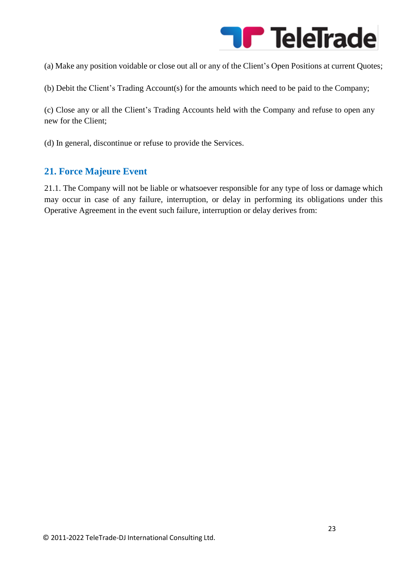

(a) Make any position voidable or close out all or any of the Client's Open Positions at current Quotes;

(b) Debit the Client's Trading Account(s) for the amounts which need to be paid to the Company;

(c) Close any or all the Client's Trading Accounts held with the Company and refuse to open any new for the Client;

(d) In general, discontinue or refuse to provide the Services.

#### **21. Force Majeure Event**

21.1. The Company will not be liable or whatsoever responsible for any type of loss or damage which may occur in case of any failure, interruption, or delay in performing its obligations under this Operative Agreement in the event such failure, interruption or delay derives from: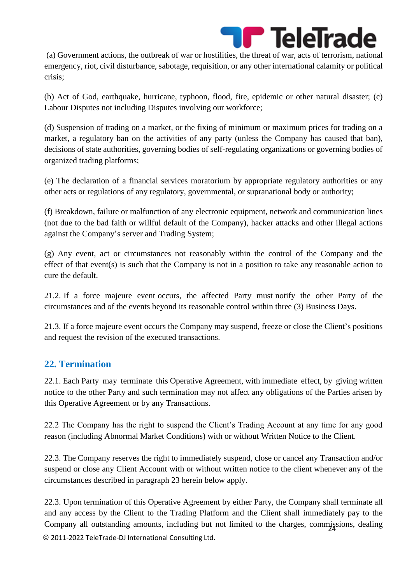

(a) Government actions, the outbreak of war or hostilities, the threat of war, acts of terrorism, national emergency, riot, civil disturbance, sabotage, requisition, or any other international calamity or political crisis;

(b) Act of God, earthquake, hurricane, typhoon, flood, fire, epidemic or other natural disaster; (c) Labour Disputes not including Disputes involving our workforce;

(d) Suspension of trading on a market, or the fixing of minimum or maximum prices for trading on a market, a regulatory ban on the activities of any party (unless the Company has caused that ban), decisions of state authorities, governing bodies of self-regulating organizations or governing bodies of organized trading platforms;

(e) The declaration of a financial services moratorium by appropriate regulatory authorities or any other acts or regulations of any regulatory, governmental, or supranational body or authority;

(f) Breakdown, failure or malfunction of any electronic equipment, network and communication lines (not due to the bad faith or willful default of the Company), hacker attacks and other illegal actions against the Company's server and Trading System;

(g) Any event, act or circumstances not reasonably within the control of the Company and the effect of that event(s) is such that the Company is not in a position to take any reasonable action to cure the default.

21.2. If a force majeure event occurs, the affected Party must notify the other Party of the circumstances and of the events beyond its reasonable control within three (3) Business Days.

21.3. If a force majeure event occurs the Company may suspend, freeze or close the Client's positions and request the revision of the executed transactions.

# **22. Termination**

22.1. Each Party may terminate this Operative Agreement, with immediate effect, by giving written notice to the other Party and such termination may not affect any obligations of the Parties arisen by this Operative Agreement or by any Transactions.

22.2 The Company has the right to suspend the Client's Trading Account at any time for any good reason (including Abnormal Market Conditions) with or without Written Notice to the Client.

22.3. The Company reserves the right to immediately suspend, close or cancel any Transaction and/or suspend or close any Client Account with or without written notice to the client whenever any of the circumstances described in paragraph 23 herein below apply.

© 2011-2022 TeleTrade-DJ International Consulting Ltd. Company all outstanding amounts, including but not limited to the charges, commissions, dealing 22.3. Upon termination of this Operative Agreement by either Party, the Company shall terminate all and any access by the Client to the Trading Platform and the Client shall immediately pay to the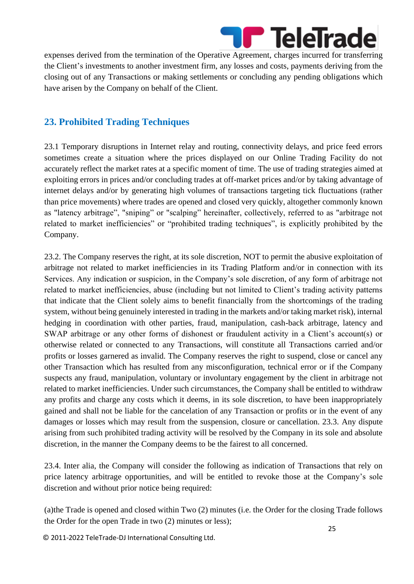

expenses derived from the termination of the Operative Agreement, charges incurred for transferring the Client's investments to another investment firm, any losses and costs, payments deriving from the closing out of any Transactions or making settlements or concluding any pending obligations which have arisen by the Company on behalf of the Client.

# **23. Prohibited Trading Techniques**

23.1 Temporary disruptions in Internet relay and routing, connectivity delays, and price feed errors sometimes create a situation where the prices displayed on our Online Trading Facility do not accurately reflect the market rates at a specific moment of time. The use of trading strategies aimed at exploiting errors in prices and/or concluding trades at off-market prices and/or by taking advantage of internet delays and/or by generating high volumes of transactions targeting tick fluctuations (rather than price movements) where trades are opened and closed very quickly, altogether commonly known as "latency arbitrage", "sniping" or "scalping" hereinafter, collectively, referred to as "arbitrage not related to market inefficiencies" or "prohibited trading techniques", is explicitly prohibited by the Company.

23.2. The Company reserves the right, at its sole discretion, NOT to permit the abusive exploitation of arbitrage not related to market inefficiencies in its Trading Platform and/or in connection with its Services. Any indication or suspicion, in the Company's sole discretion, of any form of arbitrage not related to market inefficiencies, abuse (including but not limited to Client's trading activity patterns that indicate that the Client solely aims to benefit financially from the shortcomings of the trading system, without being genuinely interested in trading in the markets and/or taking market risk), internal hedging in coordination with other parties, fraud, manipulation, cash-back arbitrage, latency and SWAP arbitrage or any other forms of dishonest or fraudulent activity in a Client's account(s) or otherwise related or connected to any Transactions, will constitute all Transactions carried and/or profits or losses garnered as invalid. The Company reserves the right to suspend, close or cancel any other Transaction which has resulted from any misconfiguration, technical error or if the Company suspects any fraud, manipulation, voluntary or involuntary engagement by the client in arbitrage not related to market inefficiencies. Under such circumstances, the Company shall be entitled to withdraw any profits and charge any costs which it deems, in its sole discretion, to have been inappropriately gained and shall not be liable for the cancelation of any Transaction or profits or in the event of any damages or losses which may result from the suspension, closure or cancellation. 23.3. Any dispute arising from such prohibited trading activity will be resolved by the Company in its sole and absolute discretion, in the manner the Company deems to be the fairest to all concerned.

23.4. Inter alia, the Company will consider the following as indication of Transactions that rely on price latency arbitrage opportunities, and will be entitled to revoke those at the Company's sole discretion and without prior notice being required:

(a)the Trade is opened and closed within Two (2) minutes (i.e. the Order for the closing Trade follows the Order for the open Trade in two (2) minutes or less);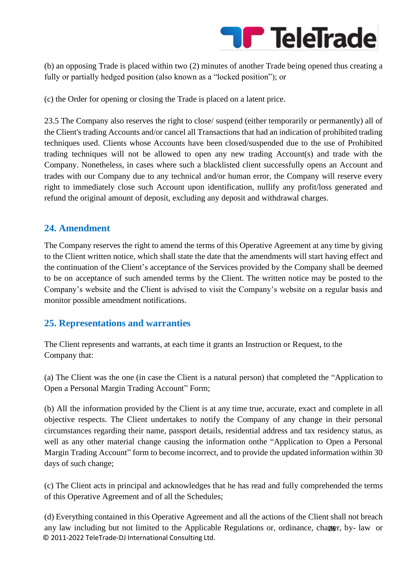

(b) an opposing Trade is placed within two (2) minutes of another Trade being opened thus creating a fully or partially hedged position (also known as a "locked position"); or

(c) the Order for opening or closing the Trade is placed on a latent price.

23.5 The Company also reserves the right to close/ suspend (either temporarily or permanently) all of the Client's trading Accounts and/or cancel all Transactions that had an indication of prohibited trading techniques used. Clients whose Accounts have been closed/suspended due to the use of Prohibited trading techniques will not be allowed to open any new trading Account(s) and trade with the Company. Nonetheless, in cases where such a blacklisted client successfully opens an Account and trades with our Company due to any technical and/or human error, the Company will reserve every right to immediately close such Account upon identification, nullify any profit/loss generated and refund the original amount of deposit, excluding any deposit and withdrawal charges.

#### **24. Amendment**

The Company reserves the right to amend the terms of this Operative Agreement at any time by giving to the Client written notice, which shall state the date that the amendments will start having effect and the continuation of the Client's acceptance of the Services provided by the Company shall be deemed to be on acceptance of such amended terms by the Client. The written notice may be posted to the Company's website and the Client is advised to visit the Company's website on a regular basis and monitor possible amendment notifications.

#### **25. Representations and warranties**

The Client represents and warrants, at each time it grants an Instruction or Request, to the Company that:

(a) The Client was the one (in case the Client is a natural person) that completed the "Application to Open a Personal Margin Trading Account" Form;

(b) All the information provided by the Client is at any time true, accurate, exact and complete in all objective respects. The Client undertakes to notify the Company of any change in their personal circumstances regarding their name, passport details, residential address and tax residency status, as well as any other material change causing the information onthe "Application to Open a Personal Margin Trading Account" form to become incorrect, and to provide the updated information within 30 days of such change;

(c) The Client acts in principal and acknowledges that he has read and fully comprehended the terms of this Operative Agreement and of all the Schedules;

© 2011-2022 TeleTrade-DJ International Consulting Ltd. any law including but not limited to the Applicable Regulations or, ordinance, chapter, by-law or (d) Everything contained in this Operative Agreement and all the actions of the Client shall not breach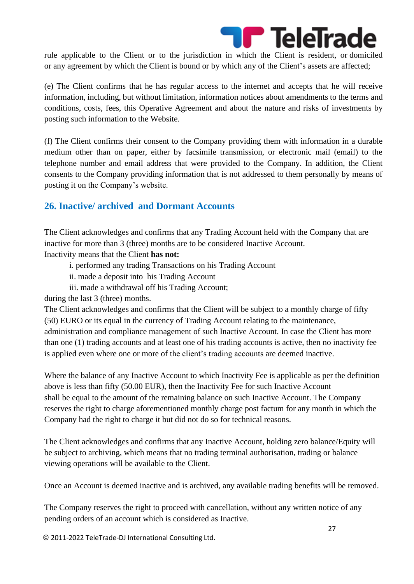

rule applicable to the Client or to the jurisdiction in which the Client is resident, or domiciled or any agreement by which the Client is bound or by which any of the Client's assets are affected;

(e) The Client confirms that he has regular access to the internet and accepts that he will receive information, including, but without limitation, information notices about amendments to the terms and conditions, costs, fees, this Operative Agreement and about the nature and risks of investments by posting such information to the Website.

(f) The Client confirms their consent to the Company providing them with information in a durable medium other than on paper, either by facsimile transmission, or electronic mail (email) to the telephone number and email address that were provided to the Company. In addition, the Client consents to the Company providing information that is not addressed to them personally by means of posting it on the Company's website.

# **26. Inactive/ archived and Dormant Accounts**

The Client acknowledges and confirms that any Trading Account held with the Company that are inactive for more than 3 (three) months are to be considered Inactive Account.

Inactivity means that the Client **has not:**

- i. performed any trading Transactions on his Trading Account
- ii. made a deposit into his Trading Account
- iii. made a withdrawal off his Trading Account;

during the last 3 (three) months.

The Client acknowledges and confirms that the Client will be subject to a monthly charge of fifty (50) EURO or its equal in the currency of Trading Account relating to the maintenance, administration and compliance management of such Inactive Account. In case the Client has more than one (1) trading accounts and at least one of his trading accounts is active, then no inactivity fee is applied even where one or more of the client's trading accounts are deemed inactive.

Where the balance of any Inactive Account to which Inactivity Fee is applicable as per the definition above is less than fifty (50.00 EUR), then the Inactivity Fee for such Inactive Account shall be equal to the amount of the remaining balance on such Inactive Account. The Company reserves the right to charge aforementioned monthly charge post factum for any month in which the Company had the right to charge it but did not do so for technical reasons.

The Client acknowledges and confirms that any Inactive Account, holding zero balance/Equity will be subject to archiving, which means that no trading terminal authorisation, trading or balance viewing operations will be available to the Client.

Once an Account is deemed inactive and is archived, any available trading benefits will be removed.

The Company reserves the right to proceed with cancellation, without any written notice of any pending orders of an account which is considered as Inactive.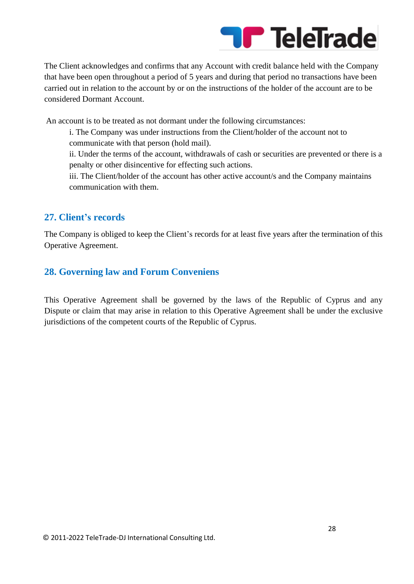

The Client acknowledges and confirms that any Account with credit balance held with the Company that have been open throughout a period of 5 years and during that period no transactions have been carried out in relation to the account by or on the instructions of the holder of the account are to be considered Dormant Account.

An account is to be treated as not dormant under the following circumstances:

i. The Company was under instructions from the Client/holder of the account not to communicate with that person (hold mail).

ii. Under the terms of the account, withdrawals of cash or securities are prevented or there is a penalty or other disincentive for effecting such actions.

iii. The Client/holder of the account has other active account/s and the Company maintains communication with them.

#### **27. Client's records**

The Company is obliged to keep the Client's records for at least five years after the termination of this Operative Agreement.

#### **28. Governing law and Forum Conveniens**

This Operative Agreement shall be governed by the laws of the Republic of Cyprus and any Dispute or claim that may arise in relation to this Operative Agreement shall be under the exclusive jurisdictions of the competent courts of the Republic of Cyprus.